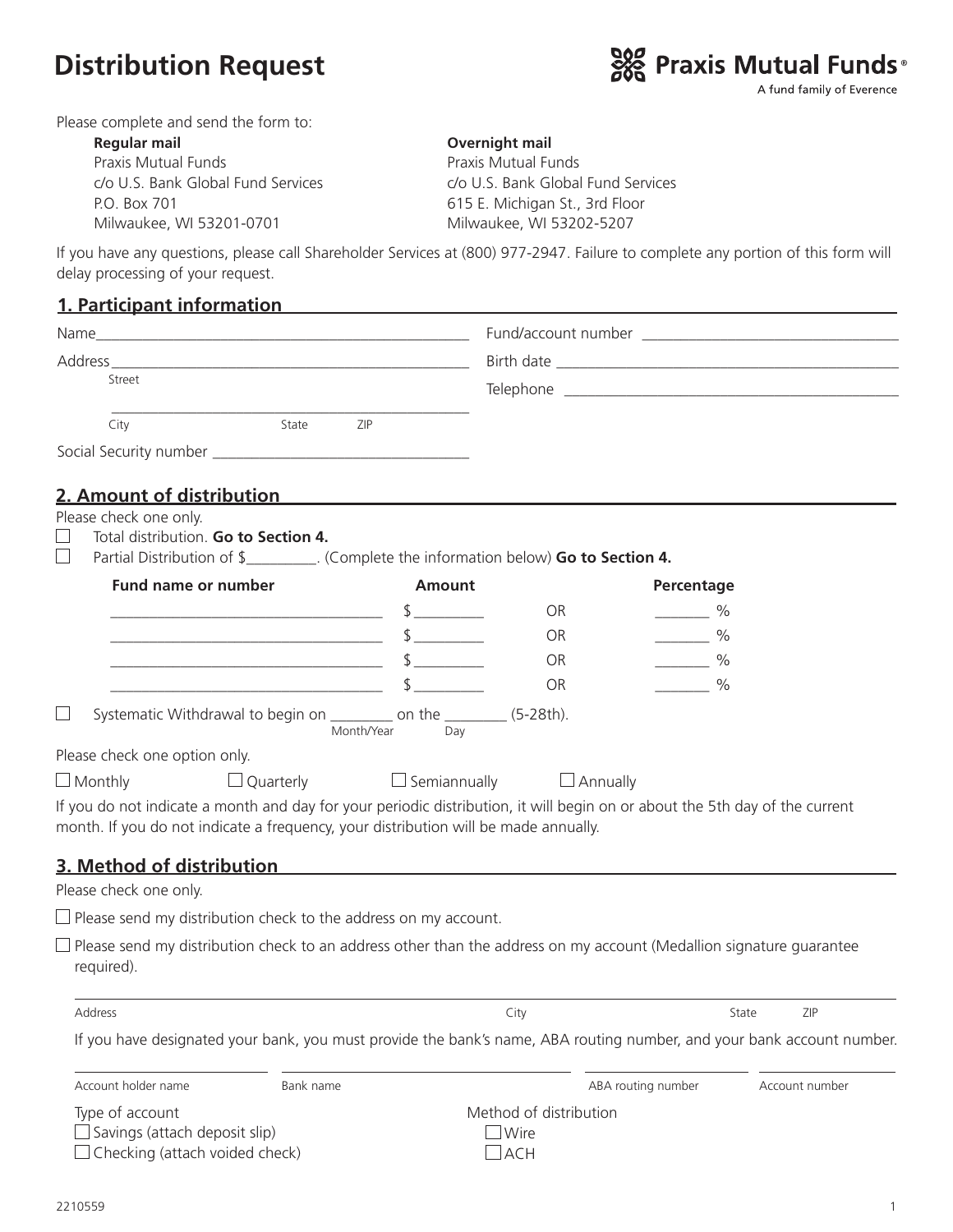## **Distribution Request**



Please complete and send the form to:

| Regular mail                       | Overnight mail                     |
|------------------------------------|------------------------------------|
| Praxis Mutual Funds                | Praxis Mutual Funds                |
| c/o U.S. Bank Global Fund Services | c/o U.S. Bank Global Fund Services |
| P.O. Box 701                       | 615 E. Michigan St., 3rd Floor     |
| Milwaukee, WI 53201-0701           | Milwaukee, WI 53202-5207           |

If you have any questions, please call Shareholder Services at (800) 977-2947. Failure to complete any portion of this form will delay processing of your request.

## **1. Participant information**

| Name   |       |            |  |
|--------|-------|------------|--|
|        |       |            |  |
| Street |       |            |  |
| City   | State | <b>ZIP</b> |  |
|        |       |            |  |

## **2. Amount of distribution**

Please check one only.

- Total distribution. **Go to Section 4.**
- Partial Distribution of \$\_\_\_\_\_\_\_\_\_. (Complete the information below) **Go to Section 4.**

| Fund name or number           |                  | <b>Amount</b>                                                                                  |                                     | Percentage                                                                                                                  |  |
|-------------------------------|------------------|------------------------------------------------------------------------------------------------|-------------------------------------|-----------------------------------------------------------------------------------------------------------------------------|--|
|                               |                  |                                                                                                | <b>OR</b>                           | $\frac{0}{0}$                                                                                                               |  |
|                               |                  |                                                                                                | <b>OR</b>                           | $\%$                                                                                                                        |  |
|                               |                  |                                                                                                | <b>OR</b>                           | $\%$                                                                                                                        |  |
|                               |                  |                                                                                                | <b>OR</b>                           | $\%$                                                                                                                        |  |
|                               |                  | Systematic Withdrawal to begin on ___________ on the __________ (5-28th).<br>Month/Year<br>Day |                                     |                                                                                                                             |  |
| Please check one option only. |                  |                                                                                                |                                     |                                                                                                                             |  |
| $\Box$ Monthly                | $\Box$ Quarterly |                                                                                                | $\Box$ Semiannually $\Box$ Annually |                                                                                                                             |  |
|                               |                  | month. If you do not indicate a frequency, your distribution will be made annually.            |                                     | If you do not indicate a month and day for your periodic distribution, it will begin on or about the 5th day of the current |  |
| 3. Method of distribution     |                  |                                                                                                |                                     |                                                                                                                             |  |
| Please check one only.        |                  |                                                                                                |                                     |                                                                                                                             |  |
|                               |                  |                                                                                                |                                     |                                                                                                                             |  |

 $\square$  Please send my distribution check to the address on my account.

 $\Box$  Please send my distribution check to an address other than the address on my account (Medallion signature guarantee required).

Address City State ZIP

| If you have designated your bank, you must provide the bank's name, ABA routing number, and your bank account number. |  |
|-----------------------------------------------------------------------------------------------------------------------|--|

| Account holder name                                                                              | Bank name |                                              | ABA routing number | Account number |
|--------------------------------------------------------------------------------------------------|-----------|----------------------------------------------|--------------------|----------------|
| Type of account<br>$\Box$ Savings (attach deposit slip)<br>$\Box$ Checking (attach voided check) |           | Method of distribution<br>$\Box$ Wire<br>ACH |                    |                |